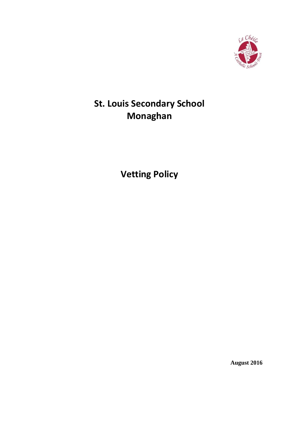

# **St. Louis Secondary School Monaghan**

**Vetting Policy**

**August 2016**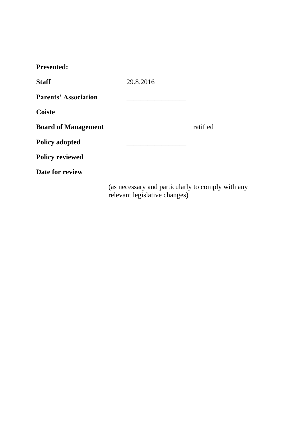| <b>Presented:</b>           |           |          |
|-----------------------------|-----------|----------|
| <b>Staff</b>                | 29.8.2016 |          |
| <b>Parents' Association</b> |           |          |
| <b>Coiste</b>               |           |          |
| <b>Board of Management</b>  |           | ratified |
| <b>Policy adopted</b>       |           |          |
| <b>Policy reviewed</b>      |           |          |
| Date for review             |           |          |
|                             |           |          |

(as necessary and particularly to comply with any relevant legislative changes)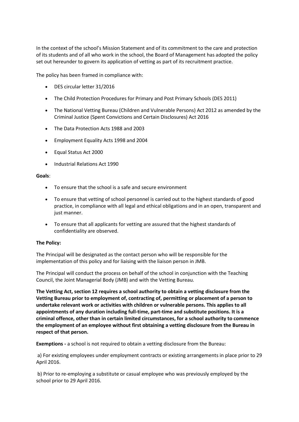In the context of the school's Mission Statement and of its commitment to the care and protection of its students and of all who work in the school, the Board of Management has adopted the policy set out hereunder to govern its application of vetting as part of its recruitment practice.

The policy has been framed in compliance with:

- DES circular letter 31/2016
- The Child Protection Procedures for Primary and Post Primary Schools (DES 2011)
- The National Vetting Bureau (Children and Vulnerable Persons) Act 2012 as amended by the Criminal Justice (Spent Convictions and Certain Disclosures) Act 2016
- The Data Protection Acts 1988 and 2003
- Employment Equality Acts 1998 and 2004
- Equal Status Act 2000
- Industrial Relations Act 1990

## **Goals**:

- To ensure that the school is a safe and secure environment
- To ensure that vetting of school personnel is carried out to the highest standards of good practice, in compliance with all legal and ethical obligations and in an open, transparent and just manner.
- To ensure that all applicants for vetting are assured that the highest standards of confidentiality are observed.

## **The Policy:**

The Principal will be designated as the contact person who will be responsible for the implementation of this policy and for liaising with the liaison person in JMB.

The Principal will conduct the process on behalf of the school in conjunction with the Teaching Council, the Joint Managerial Body (JMB) and with the Vetting Bureau.

**The Vetting Act, section 12 requires a school authority to obtain a vetting disclosure from the Vetting Bureau prior to employment of, contracting of, permitting or placement of a person to undertake relevant work or activities with children or vulnerable persons. This applies to all appointments of any duration including full-time, part-time and substitute positions. It is a criminal offence, other than in certain limited circumstances, for a school authority to commence the employment of an employee without first obtaining a vetting disclosure from the Bureau in respect of that person.**

**Exemptions -** a school is not required to obtain a vetting disclosure from the Bureau:

a) For existing employees under employment contracts or existing arrangements in place prior to 29 April 2016.

b) Prior to re-employing a substitute or casual employee who was previously employed by the school prior to 29 April 2016.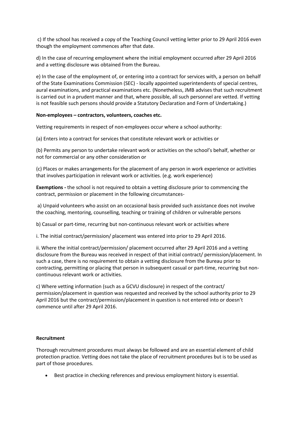c) If the school has received a copy of the Teaching Council vetting letter prior to 29 April 2016 even though the employment commences after that date.

d) In the case of recurring employment where the initial employment occurred after 29 April 2016 and a vetting disclosure was obtained from the Bureau.

e) In the case of the employment of, or entering into a contract for services with, a person on behalf of the State Examinations Commission (SEC) - locally appointed superintendents of special centres, aural examinations, and practical examinations etc. (Nonetheless, JMB advises that such recruitment is carried out in a prudent manner and that, where possible, all such personnel are vetted. If vetting is not feasible such persons should provide a Statutory Declaration and Form of Undertaking.)

#### **Non-employees – contractors, volunteers, coaches etc.**

Vetting requirements in respect of non-employees occur where a school authority:

(a) Enters into a contract for services that constitute relevant work or activities or

(b) Permits any person to undertake relevant work or activities on the school's behalf, whether or not for commercial or any other consideration or

(c) Places or makes arrangements for the placement of any person in work experience or activities that involves participation in relevant work or activities. (e.g. work experience)

**Exemptions -** the school is not required to obtain a vetting disclosure prior to commencing the contract, permission or placement in the following circumstances-

a) Unpaid volunteers who assist on an occasional basis provided such assistance does not involve the coaching, mentoring, counselling, teaching or training of children or vulnerable persons

b) Casual or part-time, recurring but non-continuous relevant work or activities where

i. The initial contract/permission/ placement was entered into prior to 29 April 2016.

ii. Where the initial contract/permission/ placement occurred after 29 April 2016 and a vetting disclosure from the Bureau was received in respect of that initial contract/ permission/placement. In such a case, there is no requirement to obtain a vetting disclosure from the Bureau prior to contracting, permitting or placing that person in subsequent casual or part-time, recurring but noncontinuous relevant work or activities.

c) Where vetting information (such as a GCVU disclosure) in respect of the contract/ permission/placement in question was requested and received by the school authority prior to 29 April 2016 but the contract/permission/placement in question is not entered into or doesn't commence until after 29 April 2016.

#### **Recruitment**

Thorough recruitment procedures must always be followed and are an essential element of child protection practice. Vetting does not take the place of recruitment procedures but is to be used as part of those procedures.

Best practice in checking references and previous employment history is essential.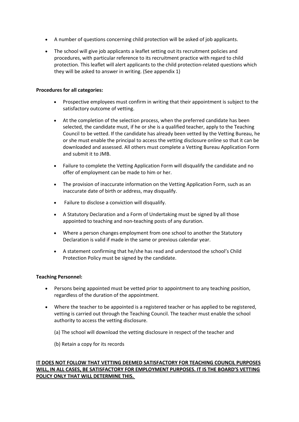- A number of questions concerning child protection will be asked of job applicants.
- The school will give job applicants a leaflet setting out its recruitment policies and procedures, with particular reference to its recruitment practice with regard to child protection. This leaflet will alert applicants to the child protection-related questions which they will be asked to answer in writing. (See appendix 1)

#### **Procedures for all categories:**

- Prospective employees must confirm in writing that their appointment is subject to the satisfactory outcome of vetting.
- At the completion of the selection process, when the preferred candidate has been selected, the candidate must, if he or she is a qualified teacher, apply to the Teaching Council to be vetted. If the candidate has already been vetted by the Vetting Bureau, he or she must enable the principal to access the vetting disclosure online so that it can be downloaded and assessed. All others must complete a Vetting Bureau Application Form and submit it to JMB.
- Failure to complete the Vetting Application Form will disqualify the candidate and no offer of employment can be made to him or her.
- The provision of inaccurate information on the Vetting Application Form, such as an inaccurate date of birth or address, may disqualify.
- Failure to disclose a conviction will disqualify.
- A Statutory Declaration and a Form of Undertaking must be signed by all those appointed to teaching and non-teaching posts of any duration.
- Where a person changes employment from one school to another the Statutory Declaration is valid if made in the same or previous calendar year.
- A statement confirming that he/she has read and understood the school's Child Protection Policy must be signed by the candidate.

## **Teaching Personnel:**

- Persons being appointed must be vetted prior to appointment to any teaching position, regardless of the duration of the appointment.
- Where the teacher to be appointed is a registered teacher or has applied to be registered, vetting is carried out through the Teaching Council. The teacher must enable the school authority to access the vetting disclosure.
	- (a) The school will download the vetting disclosure in respect of the teacher and
	- (b) Retain a copy for its records

## **IT DOES NOT FOLLOW THAT VETTING DEEMED SATISFACTORY FOR TEACHING COUNCIL PURPOSES WILL, IN ALL CASES, BE SATISFACTORY FOR EMPLOYMENT PURPOSES. IT IS THE BOARD'S VETTING POLICY ONLY THAT WILL DETERMINE THIS.**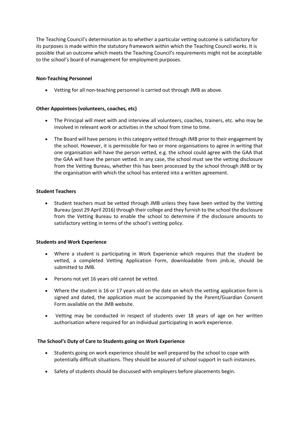The Teaching Council's determination as to whether a particular vetting outcome is satisfactory for its purposes is made within the statutory framework within which the Teaching Council works. It is possible that an outcome which meets the Teaching Council's requirements might not be acceptable to the school's board of management for employment purposes.

## **Non-Teaching Personnel**

• Vetting for all non-teaching personnel is carried out through JMB as above.

## **Other Appointees (volunteers, coaches, etc)**

- The Principal will meet with and interview all volunteers, coaches, trainers, etc. who may be involved in relevant work or activities in the school from time to time.
- The Board will have persons in this category vetted through JMB prior to their engagement by the school. However, it is permissible for two or more organisations to agree in writing that one organisation will have the person vetted, e.g. the school could agree with the GAA that the GAA will have the person vetted. In any case, the school must see the vetting disclosure from the Vetting Bureau, whether this has been processed by the school through JMB or by the organisation with which the school has entered into a written agreement.

## **Student Teachers**

• Student teachers must be vetted through JMB unless they have been vetted by the Vetting Bureau (post 29 April 2016) through their college and they furnish to the school the disclosure from the Vetting Bureau to enable the school to determine if the disclosure amounts to satisfactory vetting in terms of the school's vetting policy.

## **Students and Work Experience**

- Where a student is participating in Work Experience which requires that the student be vetted, a completed Vetting Application Form, downloadable from jmb.ie, should be submitted to JMB.
- Persons not yet 16 years old cannot be vetted.
- Where the student is 16 or 17 years old on the date on which the vetting application form is signed and dated, the application must be accompanied by the Parent/Guardian Consent Form available on the JMB website.
- Vetting may be conducted in respect of students over 18 years of age on her written authorisation where required for an individual participating in work experience.

## **The School's Duty of Care to Students going on Work Experience**

- Students going on work experience should be well prepared by the school to cope with potentially difficult situations. They should be assured of school support in such instances.
- Safety of students should be discussed with employers before placements begin.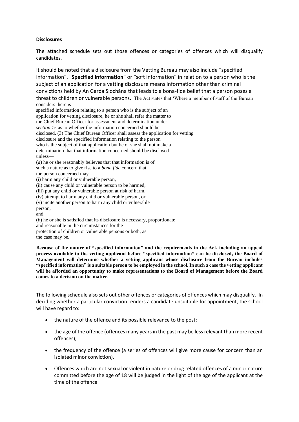## **Disclosures**

The attached schedule sets out those offences or categories of offences which will disqualify candidates.

It should be noted that a disclosure from the Vetting Bureau may also include "specified information". "**Specified information**" or "soft information" in relation to a person who is the subject of an application for a vetting disclosure means information other than criminal convictions held by An Garda Síochána that leads to a bona-fide belief that a person poses a threat to children or vulnerable persons. The Act states that 'Where a member of staff of the Bureau considers there is

specified information relating to a person who is the subject of an application for vetting disclosure, he or she shall refer the matter to the Chief Bureau Officer for assessment and determination under *section 15* as to whether the information concerned should be disclosed. (3) The Chief Bureau Officer shall assess the application for vetting disclosure and the specified information relating to the person who is the subject of that application but he or she shall not make a determination that that information concerned should be disclosed unless— (*a*) he or she reasonably believes that that information is of such a nature as to give rise to a *bona fide* concern that the person concerned may—

(i) harm any child or vulnerable person,

(ii) cause any child or vulnerable person to be harmed,

(iii) put any child or vulnerable person at risk of harm,

(iv) attempt to harm any child or vulnerable person, or

(v) incite another person to harm any child or vulnerable

person,

and

(*b*) he or she is satisfied that its disclosure is necessary, proportionate and reasonable in the circumstances for the protection of children or vulnerable persons or both, as the case may be.

**Because of the nature of "specified information" and the requirements in the Act, including an appeal process available to the vetting applicant before "specified information" can be disclosed, the Board of Management will determine whether a vetting applicant whose disclosure from the Bureau includes "specified information" is a suitable person to be employed in the school. In such a case the vetting applicant will be afforded an opportunity to make representations to the Board of Management before the Board comes to a decision on the matter.**

The following schedule also sets out other offences or categories of offences which may disqualify. In deciding whether a particular conviction renders a candidate unsuitable for appointment, the school will have regard to:

- the nature of the offence and its possible relevance to the post;
- the age of the offence (offences many years in the past may be less relevant than more recent offences);
- the frequency of the offence (a series of offences will give more cause for concern than an isolated minor conviction).
- Offences which are not sexual or violent in nature or drug related offences of a minor nature committed before the age of 18 will be judged in the light of the age of the applicant at the time of the offence.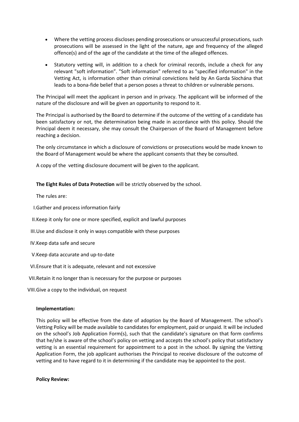- Where the vetting process discloses pending prosecutions or unsuccessful prosecutions, such prosecutions will be assessed in the light of the nature, age and frequency of the alleged offence(s) and of the age of the candidate at the time of the alleged offences.
- Statutory vetting will, in addition to a check for criminal records, include a check for any relevant "soft information". "Soft information" referred to as "specified information" in the Vetting Act, is information other than criminal convictions held by An Garda Síochána that leads to a bona-fide belief that a person poses a threat to children or vulnerable persons.

The Principal will meet the applicant in person and in privacy. The applicant will be informed of the nature of the disclosure and will be given an opportunity to respond to it.

The Principal is authorised by the Board to determine if the outcome of the vetting of a candidate has been satisfactory or not, the determination being made in accordance with this policy. Should the Principal deem it necessary, she may consult the Chairperson of the Board of Management before reaching a decision.

The only circumstance in which a disclosure of convictions or prosecutions would be made known to the Board of Management would be where the applicant consents that they be consulted.

A copy of the vetting disclosure document will be given to the applicant.

**The Eight Rules of Data Protection** will be strictly observed by the school.

The rules are:

I.Gather and process information fairly

II.Keep it only for one or more specified, explicit and lawful purposes

III.Use and disclose it only in ways compatible with these purposes

IV.Keep data safe and secure

V.Keep data accurate and up-to-date

VI.Ensure that it is adequate, relevant and not excessive

VII.Retain it no longer than is necessary for the purpose or purposes

VIII.Give a copy to the individual, on request

## **Implementation:**

This policy will be effective from the date of adoption by the Board of Management. The school's Vetting Policy will be made available to candidates for employment, paid or unpaid. It will be included on the school's Job Application Form(s), such that the candidate's signature on that form confirms that he/she is aware of the school's policy on vetting and accepts the school's policy that satisfactory vetting is an essential requirement for appointment to a post in the school. By signing the Vetting Application Form, the job applicant authorises the Principal to receive disclosure of the outcome of vetting and to have regard to it in determining if the candidate may be appointed to the post.

**Policy Review:**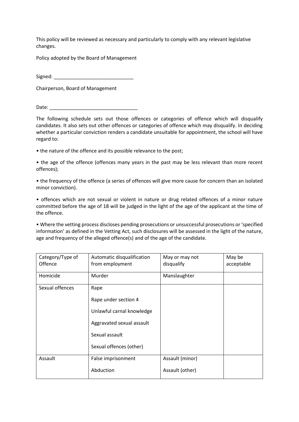This policy will be reviewed as necessary and particularly to comply with any relevant legislative changes.

Policy adopted by the Board of Management

Signed: \_\_\_\_\_\_\_\_\_\_\_\_\_\_\_\_\_\_\_\_\_\_\_\_\_\_\_\_\_

Chairperson, Board of Management

Date:

The following schedule sets out those offences or categories of offence which will disqualify candidates. It also sets out other offences or categories of offence which may disqualify. In deciding whether a particular conviction renders a candidate unsuitable for appointment, the school will have regard to:

• the nature of the offence and its possible relevance to the post;

• the age of the offence (offences many years in the past may be less relevant than more recent offences);

• the frequency of the offence (a series of offences will give more cause for concern than an isolated minor conviction).

• offences which are not sexual or violent in nature or drug related offences of a minor nature committed before the age of 18 will be judged in the light of the age of the applicant at the time of the offence.

• Where the vetting process discloses pending prosecutions or unsuccessful prosecutions or 'specified information' as defined in the Vetting Act, such disclosures will be assessed in the light of the nature, age and frequency of the alleged offence(s) and of the age of the candidate.

| Category/Type of<br><b>Offence</b> | Automatic disqualification<br>from employment | May or may not<br>disqualify | May be<br>acceptable |
|------------------------------------|-----------------------------------------------|------------------------------|----------------------|
| Homicide                           | Murder                                        | Manslaughter                 |                      |
| Sexual offences                    | Rape                                          |                              |                      |
|                                    | Rape under section 4                          |                              |                      |
|                                    | Unlawful carnal knowledge                     |                              |                      |
|                                    | Aggravated sexual assault                     |                              |                      |
|                                    | Sexual assault                                |                              |                      |
|                                    | Sexual offences (other)                       |                              |                      |
| Assault                            | False imprisonment                            | Assault (minor)              |                      |
|                                    | Abduction                                     | Assault (other)              |                      |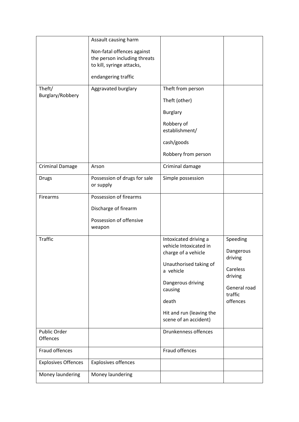| Theft/<br>Burglary/Robbery | Assault causing harm<br>Non-fatal offences against<br>the person including threats<br>to kill, syringe attacks,<br>endangering traffic<br>Aggravated burglary | Theft from person<br>Theft (other)<br><b>Burglary</b>                                                                                                                                                       |                                                                                                |
|----------------------------|---------------------------------------------------------------------------------------------------------------------------------------------------------------|-------------------------------------------------------------------------------------------------------------------------------------------------------------------------------------------------------------|------------------------------------------------------------------------------------------------|
|                            |                                                                                                                                                               | Robbery of<br>establishment/<br>cash/goods<br>Robbery from person                                                                                                                                           |                                                                                                |
| <b>Criminal Damage</b>     | Arson                                                                                                                                                         | Criminal damage                                                                                                                                                                                             |                                                                                                |
| <b>Drugs</b>               | Possession of drugs for sale<br>or supply                                                                                                                     | Simple possession                                                                                                                                                                                           |                                                                                                |
| Firearms                   | Possession of firearms<br>Discharge of firearm<br>Possession of offensive<br>weapon                                                                           |                                                                                                                                                                                                             |                                                                                                |
| <b>Traffic</b>             |                                                                                                                                                               | Intoxicated driving a<br>vehicle Intoxicated in<br>charge of a vehicle<br>Unauthorised taking of<br>a vehicle<br>Dangerous driving<br>causing<br>death<br>Hit and run (leaving the<br>scene of an accident) | Speeding<br>Dangerous<br>driving<br>Careless<br>driving<br>General road<br>traffic<br>offences |
| Public Order<br>Offences   |                                                                                                                                                               | Drunkenness offences                                                                                                                                                                                        |                                                                                                |
| Fraud offences             |                                                                                                                                                               | Fraud offences                                                                                                                                                                                              |                                                                                                |
| <b>Explosives Offences</b> | <b>Explosives offences</b>                                                                                                                                    |                                                                                                                                                                                                             |                                                                                                |
| Money laundering           | Money laundering                                                                                                                                              |                                                                                                                                                                                                             |                                                                                                |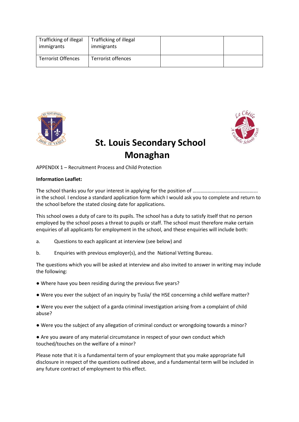| Trafficking of illegal<br>immigrants | Trafficking of illegal<br>immigrants |  |
|--------------------------------------|--------------------------------------|--|
| <b>Terrorist Offences</b>            | Terrorist offences                   |  |





## **St. Louis Secondary School Monaghan**

## APPENDIX 1 – Recruitment Process and Child Protection

#### **Information Leaflet:**

The school thanks you for your interest in applying for the position of …………………………………………... in the school. I enclose a standard application form which I would ask you to complete and return to the school before the stated closing date for applications.

This school owes a duty of care to its pupils. The school has a duty to satisfy itself that no person employed by the school poses a threat to pupils or staff. The school must therefore make certain enquiries of all applicants for employment in the school, and these enquiries will include both:

- a. Questions to each applicant at interview (see below) and
- b. Enquiries with previous employer(s), and the National Vetting Bureau.

The questions which you will be asked at interview and also invited to answer in writing may include the following:

- Where have you been residing during the previous five years?
- Were you ever the subject of an inquiry by Tusla/ the HSE concerning a child welfare matter?
- Were you ever the subject of a garda criminal investigation arising from a complaint of child abuse?
- Were you the subject of any allegation of criminal conduct or wrongdoing towards a minor?

● Are you aware of any material circumstance in respect of your own conduct which touched/touches on the welfare of a minor?

Please note that it is a fundamental term of your employment that you make appropriate full disclosure in respect of the questions outlined above, and a fundamental term will be included in any future contract of employment to this effect.